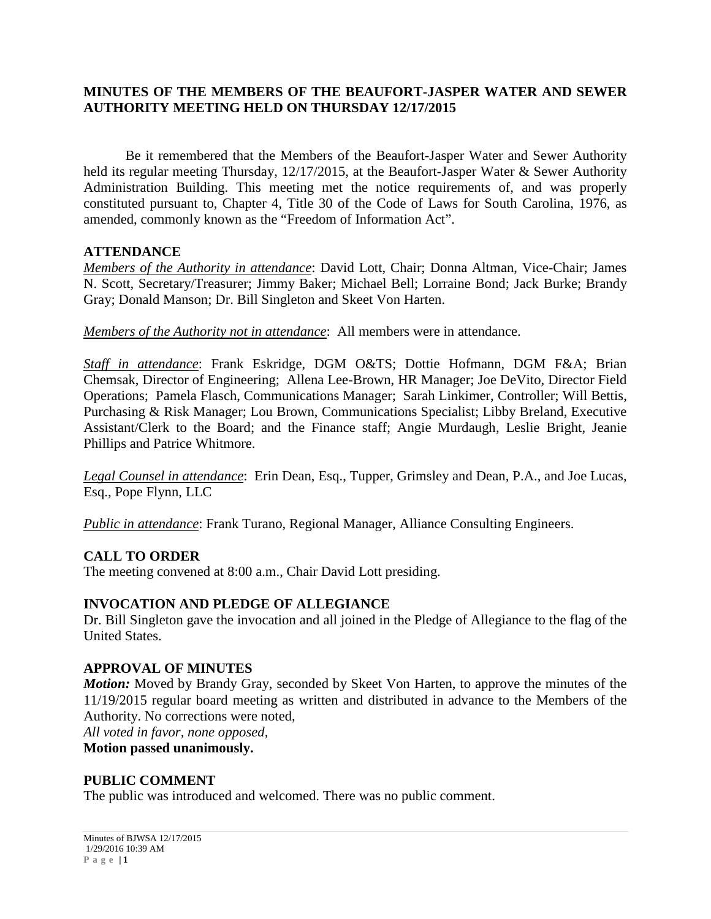## **MINUTES OF THE MEMBERS OF THE BEAUFORT-JASPER WATER AND SEWER AUTHORITY MEETING HELD ON THURSDAY 12/17/2015**

Be it remembered that the Members of the Beaufort-Jasper Water and Sewer Authority held its regular meeting Thursday, 12/17/2015, at the Beaufort-Jasper Water & Sewer Authority Administration Building. This meeting met the notice requirements of, and was properly constituted pursuant to, Chapter 4, Title 30 of the Code of Laws for South Carolina, 1976, as amended, commonly known as the "Freedom of Information Act".

#### **ATTENDANCE**

*Members of the Authority in attendance*: David Lott, Chair; Donna Altman, Vice-Chair; James N. Scott, Secretary/Treasurer; Jimmy Baker; Michael Bell; Lorraine Bond; Jack Burke; Brandy Gray; Donald Manson; Dr. Bill Singleton and Skeet Von Harten.

*Members of the Authority not in attendance*: All members were in attendance.

*Staff in attendance*: Frank Eskridge, DGM O&TS; Dottie Hofmann, DGM F&A; Brian Chemsak, Director of Engineering; Allena Lee-Brown, HR Manager; Joe DeVito, Director Field Operations; Pamela Flasch, Communications Manager; Sarah Linkimer, Controller; Will Bettis, Purchasing & Risk Manager; Lou Brown, Communications Specialist; Libby Breland, Executive Assistant/Clerk to the Board; and the Finance staff; Angie Murdaugh, Leslie Bright, Jeanie Phillips and Patrice Whitmore.

*Legal Counsel in attendance*: Erin Dean, Esq., Tupper, Grimsley and Dean, P.A., and Joe Lucas, Esq., Pope Flynn, LLC

*Public in attendance*: Frank Turano, Regional Manager, Alliance Consulting Engineers.

### **CALL TO ORDER**

The meeting convened at 8:00 a.m., Chair David Lott presiding.

### **INVOCATION AND PLEDGE OF ALLEGIANCE**

Dr. Bill Singleton gave the invocation and all joined in the Pledge of Allegiance to the flag of the United States.

#### **APPROVAL OF MINUTES**

*Motion:* Moved by Brandy Gray, seconded by Skeet Von Harten, to approve the minutes of the 11/19/2015 regular board meeting as written and distributed in advance to the Members of the Authority. No corrections were noted,

*All voted in favor, none opposed,* 

**Motion passed unanimously.**

#### **PUBLIC COMMENT**

The public was introduced and welcomed. There was no public comment.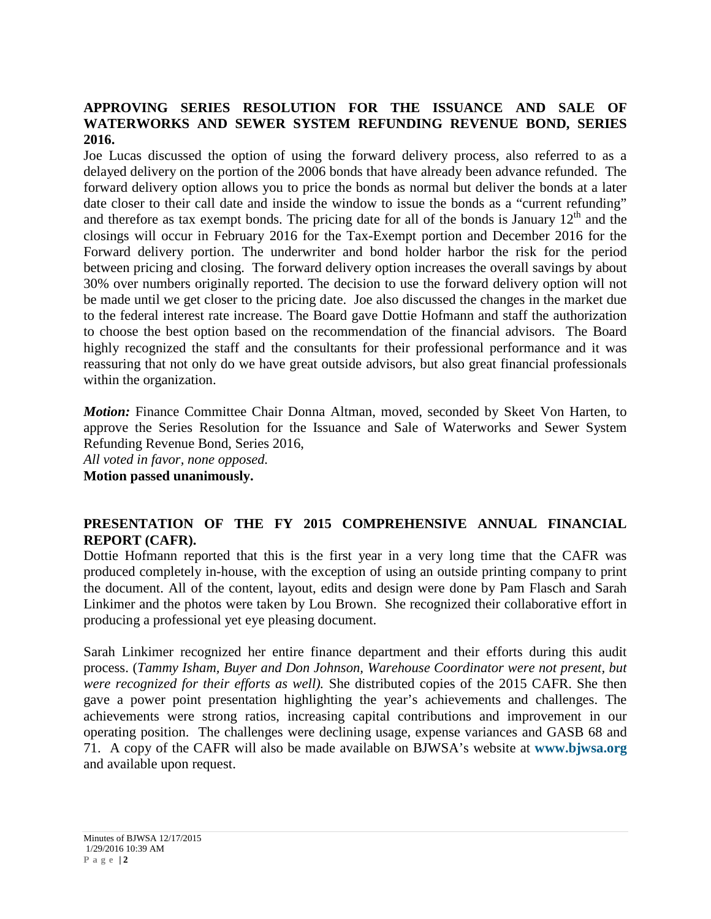# **APPROVING SERIES RESOLUTION FOR THE ISSUANCE AND SALE OF WATERWORKS AND SEWER SYSTEM REFUNDING REVENUE BOND, SERIES 2016.**

Joe Lucas discussed the option of using the forward delivery process, also referred to as a delayed delivery on the portion of the 2006 bonds that have already been advance refunded. The forward delivery option allows you to price the bonds as normal but deliver the bonds at a later date closer to their call date and inside the window to issue the bonds as a "current refunding" and therefore as tax exempt bonds. The pricing date for all of the bonds is January  $12<sup>th</sup>$  and the closings will occur in February 2016 for the Tax-Exempt portion and December 2016 for the Forward delivery portion. The underwriter and bond holder harbor the risk for the period between pricing and closing. The forward delivery option increases the overall savings by about 30% over numbers originally reported. The decision to use the forward delivery option will not be made until we get closer to the pricing date. Joe also discussed the changes in the market due to the federal interest rate increase. The Board gave Dottie Hofmann and staff the authorization to choose the best option based on the recommendation of the financial advisors. The Board highly recognized the staff and the consultants for their professional performance and it was reassuring that not only do we have great outside advisors, but also great financial professionals within the organization.

*Motion:* Finance Committee Chair Donna Altman, moved, seconded by Skeet Von Harten, to approve the Series Resolution for the Issuance and Sale of Waterworks and Sewer System Refunding Revenue Bond, Series 2016,

*All voted in favor, none opposed.* **Motion passed unanimously.**

# **PRESENTATION OF THE FY 2015 COMPREHENSIVE ANNUAL FINANCIAL REPORT (CAFR).**

Dottie Hofmann reported that this is the first year in a very long time that the CAFR was produced completely in-house, with the exception of using an outside printing company to print the document. All of the content, layout, edits and design were done by Pam Flasch and Sarah Linkimer and the photos were taken by Lou Brown. She recognized their collaborative effort in producing a professional yet eye pleasing document.

Sarah Linkimer recognized her entire finance department and their efforts during this audit process. (*Tammy Isham, Buyer and Don Johnson, Warehouse Coordinator were not present, but were recognized for their efforts as well).* She distributed copies of the 2015 CAFR. She then gave a power point presentation highlighting the year's achievements and challenges. The achievements were strong ratios, increasing capital contributions and improvement in our operating position. The challenges were declining usage, expense variances and GASB 68 and 71. A copy of the CAFR will also be made available on BJWSA's website at **[www.bjwsa.org](http://www.bjwsa.org/)** and available upon request.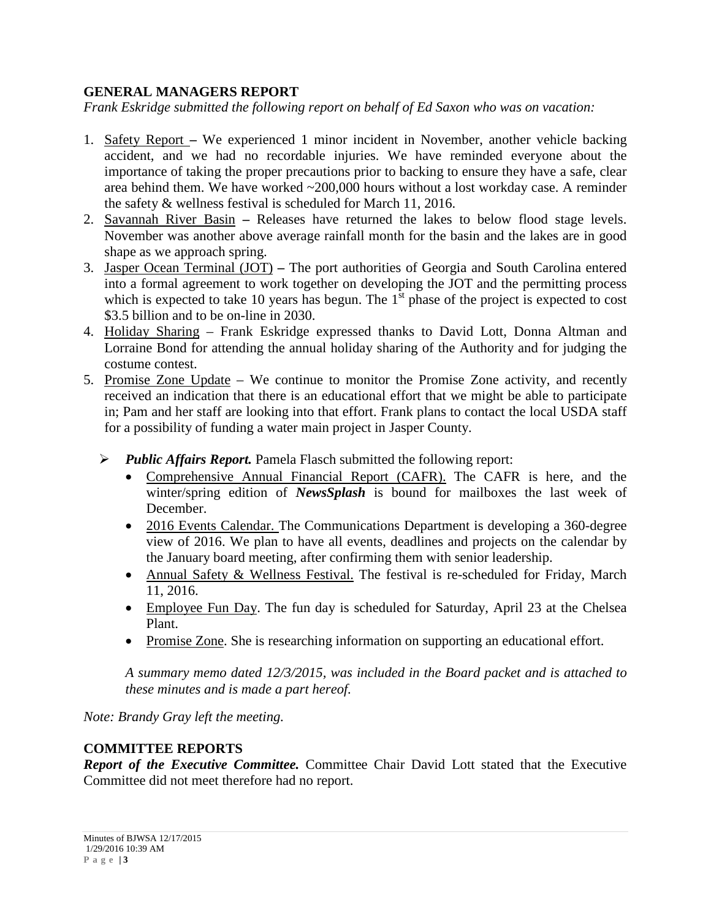## **GENERAL MANAGERS REPORT**

*Frank Eskridge submitted the following report on behalf of Ed Saxon who was on vacation:*

- 1. Safety Report **–** We experienced 1 minor incident in November, another vehicle backing accident, and we had no recordable injuries. We have reminded everyone about the importance of taking the proper precautions prior to backing to ensure they have a safe, clear area behind them. We have worked  $\sim$ 200,000 hours without a lost workday case. A reminder the safety & wellness festival is scheduled for March 11, 2016.
- 2. Savannah River Basin **–** Releases have returned the lakes to below flood stage levels. November was another above average rainfall month for the basin and the lakes are in good shape as we approach spring.
- 3. Jasper Ocean Terminal (JOT) **–** The port authorities of Georgia and South Carolina entered into a formal agreement to work together on developing the JOT and the permitting process which is expected to take 10 years has begun. The  $1<sup>st</sup>$  phase of the project is expected to cost \$3.5 billion and to be on-line in 2030.
- 4. Holiday Sharing Frank Eskridge expressed thanks to David Lott, Donna Altman and Lorraine Bond for attending the annual holiday sharing of the Authority and for judging the costume contest.
- 5. Promise Zone Update We continue to monitor the Promise Zone activity, and recently received an indication that there is an educational effort that we might be able to participate in; Pam and her staff are looking into that effort. Frank plans to contact the local USDA staff for a possibility of funding a water main project in Jasper County.
	- *Public Affairs Report.* Pamela Flasch submitted the following report:
		- Comprehensive Annual Financial Report (CAFR). The CAFR is here, and the winter/spring edition of *NewsSplash* is bound for mailboxes the last week of December.
		- 2016 Events Calendar. The Communications Department is developing a 360-degree view of 2016. We plan to have all events, deadlines and projects on the calendar by the January board meeting, after confirming them with senior leadership.
		- Annual Safety & Wellness Festival. The festival is re-scheduled for Friday, March 11, 2016.
		- Employee Fun Day. The fun day is scheduled for Saturday, April 23 at the Chelsea Plant.
		- Promise Zone. She is researching information on supporting an educational effort.

*A summary memo dated 12/3/2015, was included in the Board packet and is attached to these minutes and is made a part hereof.*

*Note: Brandy Gray left the meeting.*

### **COMMITTEE REPORTS**

*Report of the Executive Committee.* Committee Chair David Lott stated that the Executive Committee did not meet therefore had no report.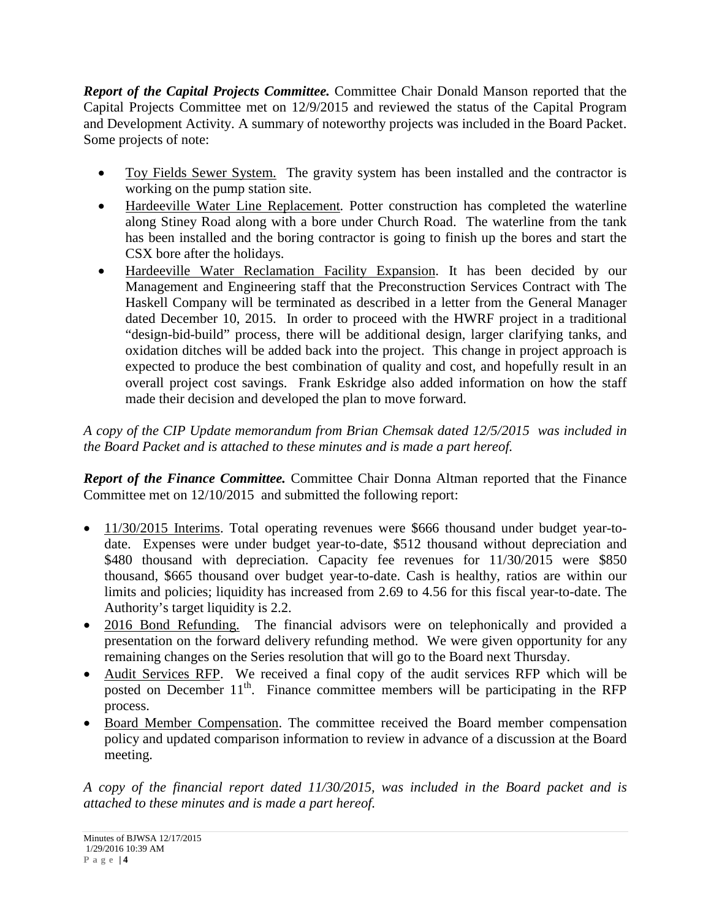*Report of the Capital Projects Committee.* Committee Chair Donald Manson reported that the Capital Projects Committee met on 12/9/2015 and reviewed the status of the Capital Program and Development Activity. A summary of noteworthy projects was included in the Board Packet. Some projects of note:

- Toy Fields Sewer System. The gravity system has been installed and the contractor is working on the pump station site.
- Hardeeville Water Line Replacement*.* Potter construction has completed the waterline along Stiney Road along with a bore under Church Road. The waterline from the tank has been installed and the boring contractor is going to finish up the bores and start the CSX bore after the holidays.
- Hardeeville Water Reclamation Facility Expansion. It has been decided by our Management and Engineering staff that the Preconstruction Services Contract with The Haskell Company will be terminated as described in a letter from the General Manager dated December 10, 2015. In order to proceed with the HWRF project in a traditional "design-bid-build" process, there will be additional design, larger clarifying tanks, and oxidation ditches will be added back into the project. This change in project approach is expected to produce the best combination of quality and cost, and hopefully result in an overall project cost savings. Frank Eskridge also added information on how the staff made their decision and developed the plan to move forward.

*A copy of the CIP Update memorandum from Brian Chemsak dated 12/5/2015 was included in the Board Packet and is attached to these minutes and is made a part hereof.*

*Report of the Finance Committee.* Committee Chair Donna Altman reported that the Finance Committee met on 12/10/2015 and submitted the following report:

- 11/30/2015 Interims. Total operating revenues were \$666 thousand under budget year-todate. Expenses were under budget year-to-date, \$512 thousand without depreciation and \$480 thousand with depreciation. Capacity fee revenues for 11/30/2015 were \$850 thousand, \$665 thousand over budget year-to-date. Cash is healthy, ratios are within our limits and policies; liquidity has increased from 2.69 to 4.56 for this fiscal year-to-date. The Authority's target liquidity is 2.2.
- 2016 Bond Refunding.The financial advisors were on telephonically and provided a presentation on the forward delivery refunding method. We were given opportunity for any remaining changes on the Series resolution that will go to the Board next Thursday.
- Audit Services RFP. We received a final copy of the audit services RFP which will be posted on December 11<sup>th</sup>. Finance committee members will be participating in the RFP process.
- Board Member Compensation. The committee received the Board member compensation policy and updated comparison information to review in advance of a discussion at the Board meeting.

*A copy of the financial report dated 11/30/2015, was included in the Board packet and is attached to these minutes and is made a part hereof.*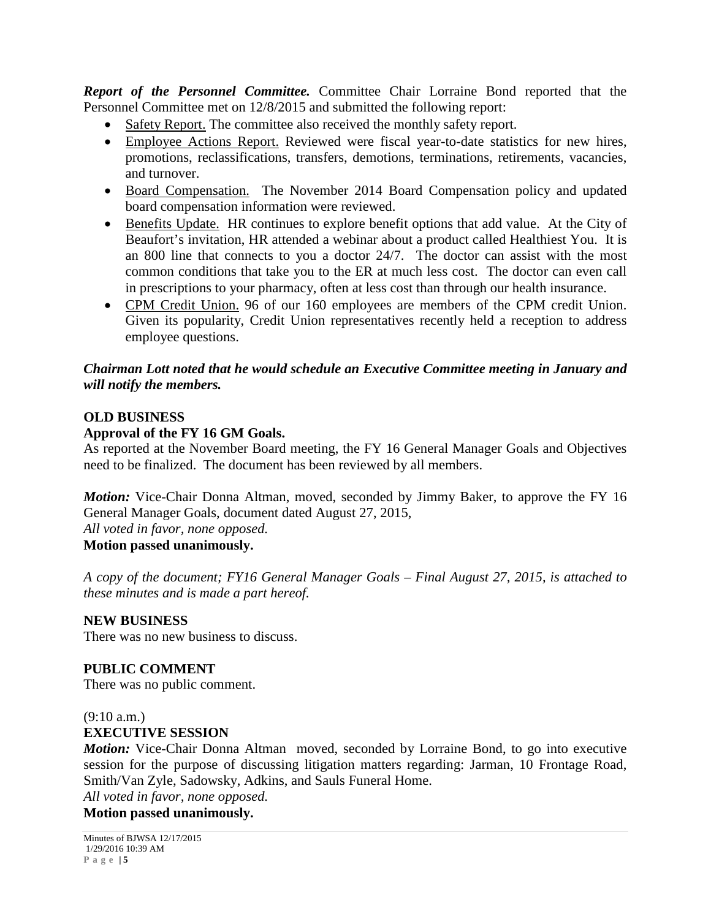*Report of the Personnel Committee.* Committee Chair Lorraine Bond reported that the Personnel Committee met on 12/8/2015 and submitted the following report:

- Safety Report. The committee also received the monthly safety report.
- Employee Actions Report. Reviewed were fiscal year-to-date statistics for new hires, promotions, reclassifications, transfers, demotions, terminations, retirements, vacancies, and turnover.
- Board Compensation. The November 2014 Board Compensation policy and updated board compensation information were reviewed.
- Benefits Update. HR continues to explore benefit options that add value. At the City of Beaufort's invitation, HR attended a webinar about a product called Healthiest You. It is an 800 line that connects to you a doctor 24/7. The doctor can assist with the most common conditions that take you to the ER at much less cost. The doctor can even call in prescriptions to your pharmacy, often at less cost than through our health insurance.
- CPM Credit Union. 96 of our 160 employees are members of the CPM credit Union. Given its popularity, Credit Union representatives recently held a reception to address employee questions.

### *Chairman Lott noted that he would schedule an Executive Committee meeting in January and will notify the members.*

#### **OLD BUSINESS**

#### **Approval of the FY 16 GM Goals.**

As reported at the November Board meeting, the FY 16 General Manager Goals and Objectives need to be finalized. The document has been reviewed by all members.

*Motion:* Vice-Chair Donna Altman, moved, seconded by Jimmy Baker, to approve the FY 16 General Manager Goals, document dated August 27, 2015, *All voted in favor, none opposed.*

## **Motion passed unanimously.**

*A copy of the document; FY16 General Manager Goals – Final August 27, 2015, is attached to these minutes and is made a part hereof.*

#### **NEW BUSINESS**

There was no new business to discuss.

### **PUBLIC COMMENT**

There was no public comment.

### (9:10 a.m.) **EXECUTIVE SESSION**

*Motion:* Vice-Chair Donna Altman moved, seconded by Lorraine Bond, to go into executive session for the purpose of discussing litigation matters regarding: Jarman, 10 Frontage Road, Smith/Van Zyle, Sadowsky, Adkins, and Sauls Funeral Home.

*All voted in favor, none opposed.*

**Motion passed unanimously.**